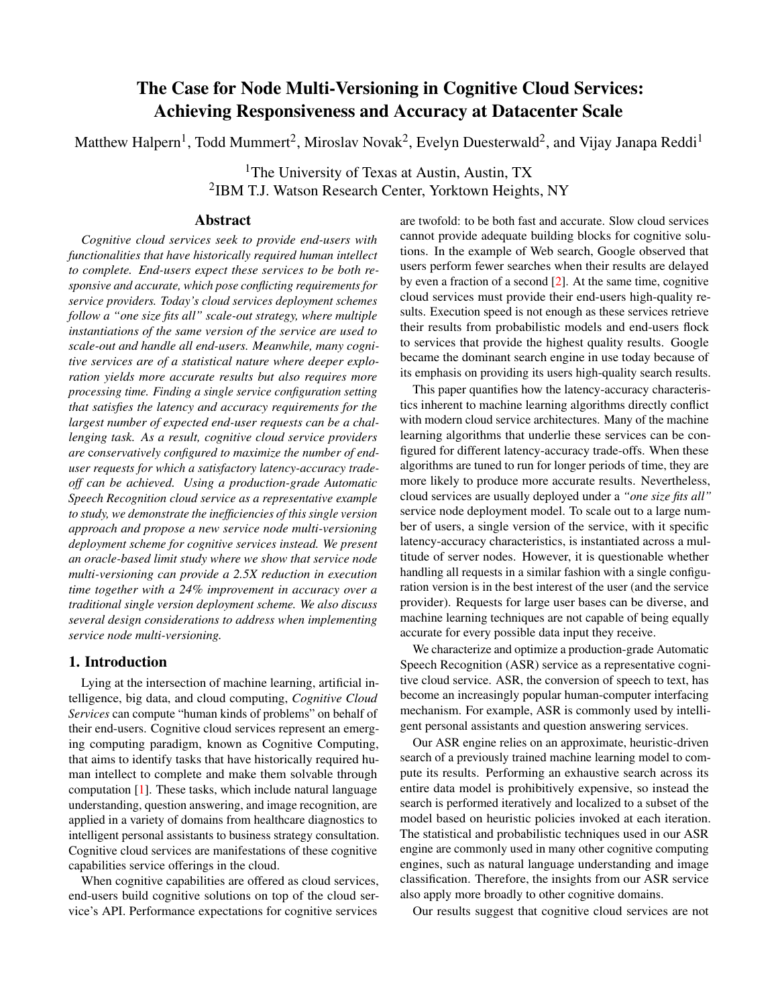# The Case for Node Multi-Versioning in Cognitive Cloud Services: Achieving Responsiveness and Accuracy at Datacenter Scale

Matthew Halpern<sup>1</sup>, Todd Mummert<sup>2</sup>, Miroslav Novak<sup>2</sup>, Evelyn Duesterwald<sup>2</sup>, and Vijay Janapa Reddi<sup>1</sup>

<sup>1</sup>The University of Texas at Austin, Austin, TX 2 IBM T.J. Watson Research Center, Yorktown Heights, NY

### Abstract

*Cognitive cloud services seek to provide end-users with functionalities that have historically required human intellect to complete. End-users expect these services to be both responsive and accurate, which pose conflicting requirements for service providers. Today's cloud services deployment schemes follow a "one size fits all" scale-out strategy, where multiple instantiations of the same version of the service are used to scale-out and handle all end-users. Meanwhile, many cognitive services are of a statistical nature where deeper exploration yields more accurate results but also requires more processing time. Finding a single service configuration setting that satisfies the latency and accuracy requirements for the largest number of expected end-user requests can be a challenging task. As a result, cognitive cloud service providers are* c*onservatively configured to maximize the number of enduser requests for which a satisfactory latency-accuracy tradeoff can be achieved. Using a production-grade Automatic Speech Recognition cloud service as a representative example to study, we demonstrate the inefficiencies of this single version approach and propose a new service node multi-versioning deployment scheme for cognitive services instead. We present an oracle-based limit study where we show that service node multi-versioning can provide a 2.5X reduction in execution time together with a 24% improvement in accuracy over a traditional single version deployment scheme. We also discuss several design considerations to address when implementing service node multi-versioning.*

### 1. Introduction

Lying at the intersection of machine learning, artificial intelligence, big data, and cloud computing, *Cognitive Cloud Services* can compute "human kinds of problems" on behalf of their end-users. Cognitive cloud services represent an emerging computing paradigm, known as Cognitive Computing, that aims to identify tasks that have historically required human intellect to complete and make them solvable through computation [\[1\]](#page-5-0). These tasks, which include natural language understanding, question answering, and image recognition, are applied in a variety of domains from healthcare diagnostics to intelligent personal assistants to business strategy consultation. Cognitive cloud services are manifestations of these cognitive capabilities service offerings in the cloud.

When cognitive capabilities are offered as cloud services, end-users build cognitive solutions on top of the cloud service's API. Performance expectations for cognitive services

are twofold: to be both fast and accurate. Slow cloud services cannot provide adequate building blocks for cognitive solutions. In the example of Web search, Google observed that users perform fewer searches when their results are delayed by even a fraction of a second  $[2]$ . At the same time, cognitive cloud services must provide their end-users high-quality results. Execution speed is not enough as these services retrieve their results from probabilistic models and end-users flock to services that provide the highest quality results. Google became the dominant search engine in use today because of its emphasis on providing its users high-quality search results.

This paper quantifies how the latency-accuracy characteristics inherent to machine learning algorithms directly conflict with modern cloud service architectures. Many of the machine learning algorithms that underlie these services can be configured for different latency-accuracy trade-offs. When these algorithms are tuned to run for longer periods of time, they are more likely to produce more accurate results. Nevertheless, cloud services are usually deployed under a *"one size fits all"* service node deployment model. To scale out to a large number of users, a single version of the service, with it specific latency-accuracy characteristics, is instantiated across a multitude of server nodes. However, it is questionable whether handling all requests in a similar fashion with a single configuration version is in the best interest of the user (and the service provider). Requests for large user bases can be diverse, and machine learning techniques are not capable of being equally accurate for every possible data input they receive.

We characterize and optimize a production-grade Automatic Speech Recognition (ASR) service as a representative cognitive cloud service. ASR, the conversion of speech to text, has become an increasingly popular human-computer interfacing mechanism. For example, ASR is commonly used by intelligent personal assistants and question answering services.

Our ASR engine relies on an approximate, heuristic-driven search of a previously trained machine learning model to compute its results. Performing an exhaustive search across its entire data model is prohibitively expensive, so instead the search is performed iteratively and localized to a subset of the model based on heuristic policies invoked at each iteration. The statistical and probabilistic techniques used in our ASR engine are commonly used in many other cognitive computing engines, such as natural language understanding and image classification. Therefore, the insights from our ASR service also apply more broadly to other cognitive domains.

Our results suggest that cognitive cloud services are not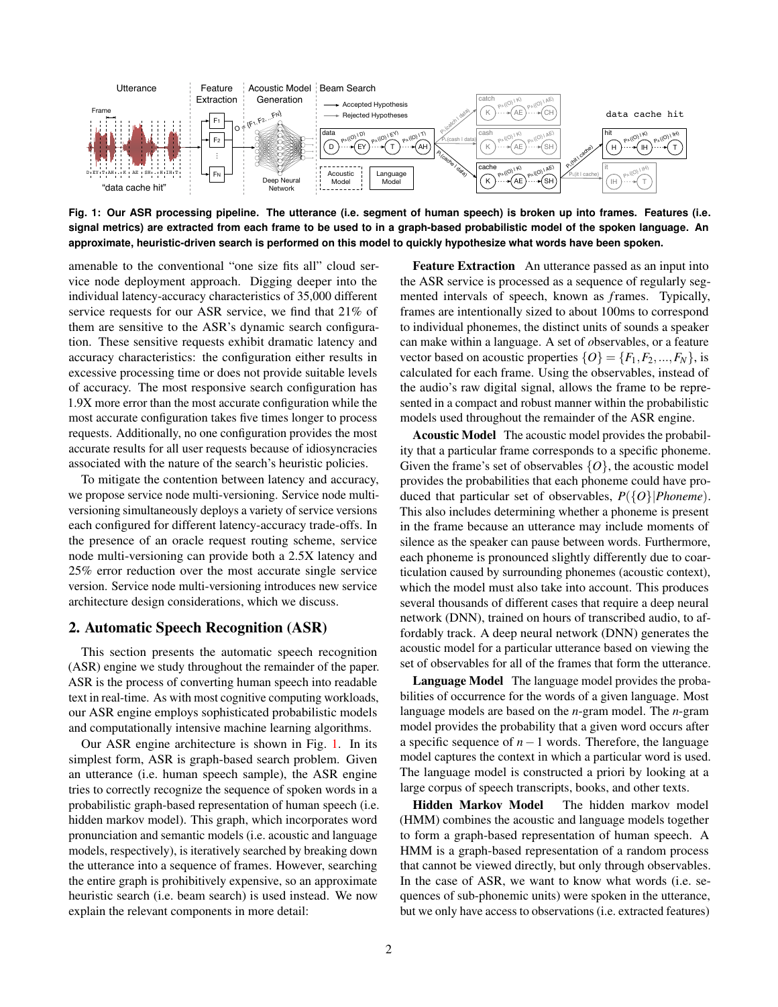<span id="page-1-0"></span>

**Fig. 1: Our ASR processing pipeline. The utterance (i.e. segment of human speech) is broken up into frames. Features (i.e. signal metrics) are extracted from each frame to be used to in a graph-based probabilistic model of the spoken language. An approximate, heuristic-driven search is performed on this model to quickly hypothesize what words have been spoken.**

amenable to the conventional "one size fits all" cloud service node deployment approach. Digging deeper into the individual latency-accuracy characteristics of 35,000 different service requests for our ASR service, we find that 21% of them are sensitive to the ASR's dynamic search configuration. These sensitive requests exhibit dramatic latency and accuracy characteristics: the configuration either results in excessive processing time or does not provide suitable levels of accuracy. The most responsive search configuration has 1.9X more error than the most accurate configuration while the most accurate configuration takes five times longer to process requests. Additionally, no one configuration provides the most accurate results for all user requests because of idiosyncracies associated with the nature of the search's heuristic policies.

To mitigate the contention between latency and accuracy, we propose service node multi-versioning. Service node multiversioning simultaneously deploys a variety of service versions each configured for different latency-accuracy trade-offs. In the presence of an oracle request routing scheme, service node multi-versioning can provide both a 2.5X latency and 25% error reduction over the most accurate single service version. Service node multi-versioning introduces new service architecture design considerations, which we discuss.

## 2. Automatic Speech Recognition (ASR)

This section presents the automatic speech recognition (ASR) engine we study throughout the remainder of the paper. ASR is the process of converting human speech into readable text in real-time. As with most cognitive computing workloads, our ASR engine employs sophisticated probabilistic models and computationally intensive machine learning algorithms.

Our ASR engine architecture is shown in Fig. [1.](#page-1-0) In its simplest form, ASR is graph-based search problem. Given an utterance (i.e. human speech sample), the ASR engine tries to correctly recognize the sequence of spoken words in a probabilistic graph-based representation of human speech (i.e. hidden markov model). This graph, which incorporates word pronunciation and semantic models (i.e. acoustic and language models, respectively), is iteratively searched by breaking down the utterance into a sequence of frames. However, searching the entire graph is prohibitively expensive, so an approximate heuristic search (i.e. beam search) is used instead. We now explain the relevant components in more detail:

Feature Extraction An utterance passed as an input into the ASR service is processed as a sequence of regularly segmented intervals of speech, known as *f*rames. Typically, frames are intentionally sized to about 100ms to correspond to individual phonemes, the distinct units of sounds a speaker can make within a language. A set of *o*bservables, or a feature vector based on acoustic properties  $\{O\} = \{F_1, F_2, ..., F_N\}$ , is calculated for each frame. Using the observables, instead of the audio's raw digital signal, allows the frame to be represented in a compact and robust manner within the probabilistic models used throughout the remainder of the ASR engine.

Acoustic Model The acoustic model provides the probability that a particular frame corresponds to a specific phoneme. Given the frame's set of observables {*O*}, the acoustic model provides the probabilities that each phoneme could have produced that particular set of observables, *P*({*O*}|*Phoneme*). This also includes determining whether a phoneme is present in the frame because an utterance may include moments of silence as the speaker can pause between words. Furthermore, each phoneme is pronounced slightly differently due to coarticulation caused by surrounding phonemes (acoustic context), which the model must also take into account. This produces several thousands of different cases that require a deep neural network (DNN), trained on hours of transcribed audio, to affordably track. A deep neural network (DNN) generates the acoustic model for a particular utterance based on viewing the set of observables for all of the frames that form the utterance.

Language Model The language model provides the probabilities of occurrence for the words of a given language. Most language models are based on the *n*-gram model. The *n*-gram model provides the probability that a given word occurs after a specific sequence of *n*−1 words. Therefore, the language model captures the context in which a particular word is used. The language model is constructed a priori by looking at a large corpus of speech transcripts, books, and other texts.

Hidden Markov Model The hidden markov model (HMM) combines the acoustic and language models together to form a graph-based representation of human speech. A HMM is a graph-based representation of a random process that cannot be viewed directly, but only through observables. In the case of ASR, we want to know what words (i.e. sequences of sub-phonemic units) were spoken in the utterance, but we only have access to observations (i.e. extracted features)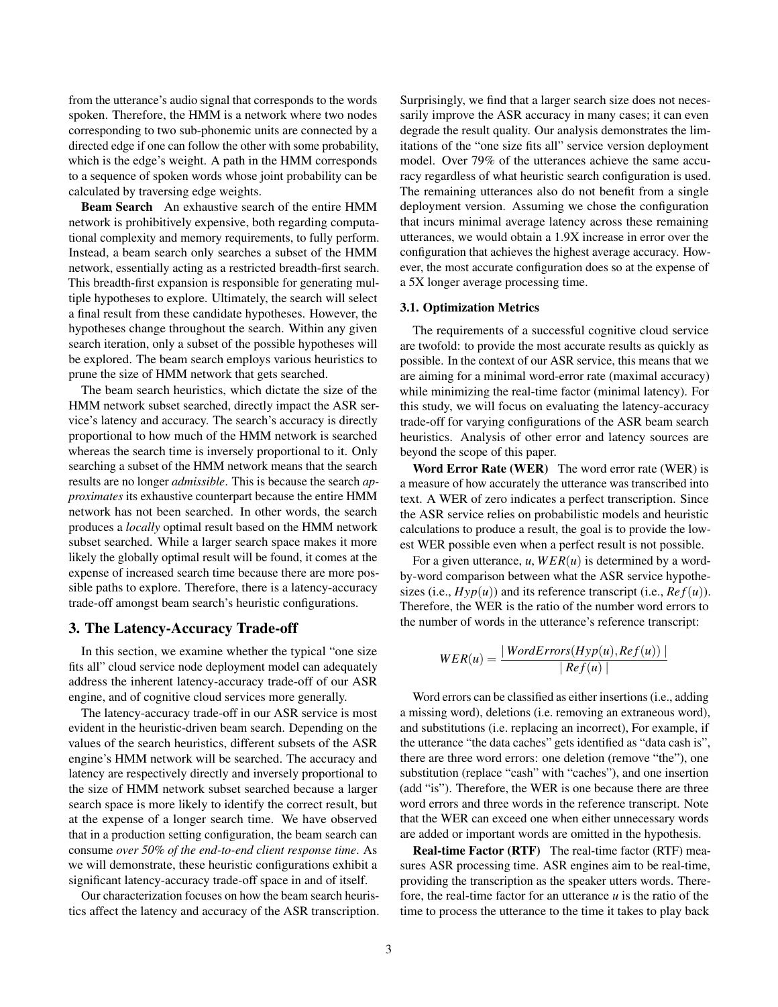from the utterance's audio signal that corresponds to the words spoken. Therefore, the HMM is a network where two nodes corresponding to two sub-phonemic units are connected by a directed edge if one can follow the other with some probability, which is the edge's weight. A path in the HMM corresponds to a sequence of spoken words whose joint probability can be calculated by traversing edge weights.

Beam Search An exhaustive search of the entire HMM network is prohibitively expensive, both regarding computational complexity and memory requirements, to fully perform. Instead, a beam search only searches a subset of the HMM network, essentially acting as a restricted breadth-first search. This breadth-first expansion is responsible for generating multiple hypotheses to explore. Ultimately, the search will select a final result from these candidate hypotheses. However, the hypotheses change throughout the search. Within any given search iteration, only a subset of the possible hypotheses will be explored. The beam search employs various heuristics to prune the size of HMM network that gets searched.

The beam search heuristics, which dictate the size of the HMM network subset searched, directly impact the ASR service's latency and accuracy. The search's accuracy is directly proportional to how much of the HMM network is searched whereas the search time is inversely proportional to it. Only searching a subset of the HMM network means that the search results are no longer *admissible*. This is because the search *approximates* its exhaustive counterpart because the entire HMM network has not been searched. In other words, the search produces a *locally* optimal result based on the HMM network subset searched. While a larger search space makes it more likely the globally optimal result will be found, it comes at the expense of increased search time because there are more possible paths to explore. Therefore, there is a latency-accuracy trade-off amongst beam search's heuristic configurations.

### 3. The Latency-Accuracy Trade-off

In this section, we examine whether the typical "one size fits all" cloud service node deployment model can adequately address the inherent latency-accuracy trade-off of our ASR engine, and of cognitive cloud services more generally.

The latency-accuracy trade-off in our ASR service is most evident in the heuristic-driven beam search. Depending on the values of the search heuristics, different subsets of the ASR engine's HMM network will be searched. The accuracy and latency are respectively directly and inversely proportional to the size of HMM network subset searched because a larger search space is more likely to identify the correct result, but at the expense of a longer search time. We have observed that in a production setting configuration, the beam search can consume *over 50% of the end-to-end client response time*. As we will demonstrate, these heuristic configurations exhibit a significant latency-accuracy trade-off space in and of itself.

Our characterization focuses on how the beam search heuristics affect the latency and accuracy of the ASR transcription. Surprisingly, we find that a larger search size does not necessarily improve the ASR accuracy in many cases; it can even degrade the result quality. Our analysis demonstrates the limitations of the "one size fits all" service version deployment model. Over 79% of the utterances achieve the same accuracy regardless of what heuristic search configuration is used. The remaining utterances also do not benefit from a single deployment version. Assuming we chose the configuration that incurs minimal average latency across these remaining utterances, we would obtain a 1.9X increase in error over the configuration that achieves the highest average accuracy. However, the most accurate configuration does so at the expense of a 5X longer average processing time.

### 3.1. Optimization Metrics

The requirements of a successful cognitive cloud service are twofold: to provide the most accurate results as quickly as possible. In the context of our ASR service, this means that we are aiming for a minimal word-error rate (maximal accuracy) while minimizing the real-time factor (minimal latency). For this study, we will focus on evaluating the latency-accuracy trade-off for varying configurations of the ASR beam search heuristics. Analysis of other error and latency sources are beyond the scope of this paper.

Word Error Rate (WER) The word error rate (WER) is a measure of how accurately the utterance was transcribed into text. A WER of zero indicates a perfect transcription. Since the ASR service relies on probabilistic models and heuristic calculations to produce a result, the goal is to provide the lowest WER possible even when a perfect result is not possible.

For a given utterance,  $u$ ,  $WER(u)$  is determined by a wordby-word comparison between what the ASR service hypothesizes (i.e.,  $Hyp(u)$ ) and its reference transcript (i.e.,  $Ref(u)$ ). Therefore, the WER is the ratio of the number word errors to the number of words in the utterance's reference transcript:

$$
WER(u) = \frac{|\text{WordErrors}(Hyp(u), \text{Ref}(u))|}{|\text{Ref}(u)|}
$$

Word errors can be classified as either insertions (i.e., adding a missing word), deletions (i.e. removing an extraneous word), and substitutions (i.e. replacing an incorrect), For example, if the utterance "the data caches" gets identified as "data cash is", there are three word errors: one deletion (remove "the"), one substitution (replace "cash" with "caches"), and one insertion (add "is"). Therefore, the WER is one because there are three word errors and three words in the reference transcript. Note that the WER can exceed one when either unnecessary words are added or important words are omitted in the hypothesis.

Real-time Factor (RTF) The real-time factor (RTF) measures ASR processing time. ASR engines aim to be real-time, providing the transcription as the speaker utters words. Therefore, the real-time factor for an utterance *u* is the ratio of the time to process the utterance to the time it takes to play back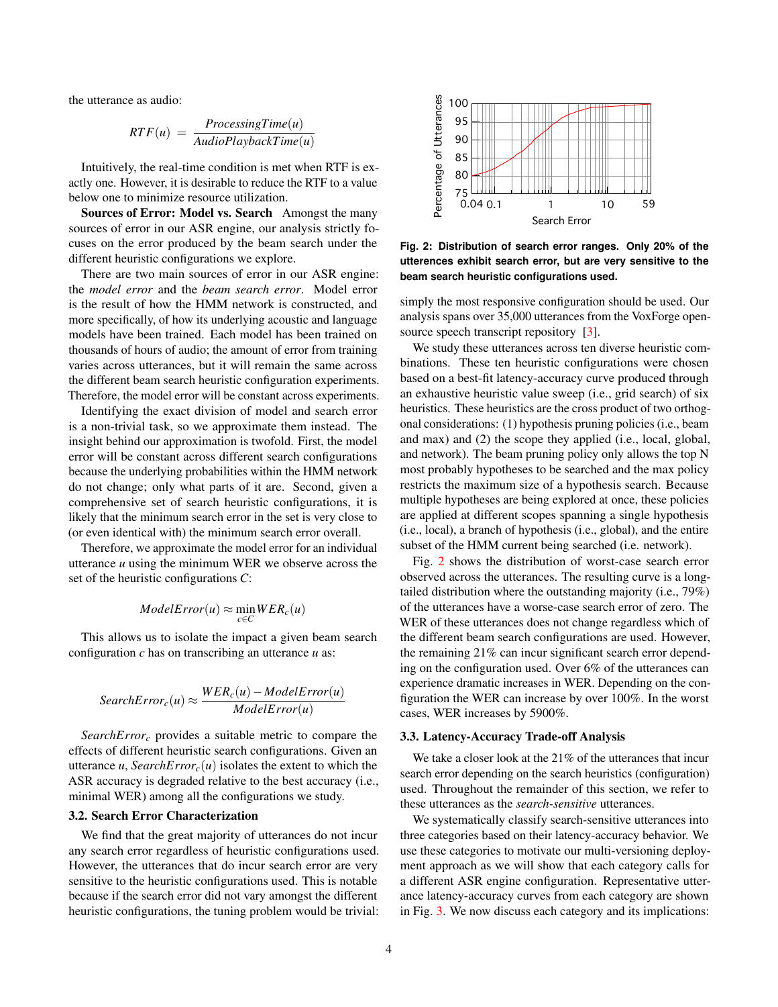the utterance as audio:

$$
RTF(u) = \frac{ProcessingTime(u)}{AudioPlaybackTime(u)}
$$

Intuitively, the real-time condition is met when RTF is exactly one. However, it is desirable to reduce the RTF to a value below one to minimize resource utilization.

Sources of Error: Model vs. Search Amongst the many sources of error in our ASR engine, our analysis strictly focuses on the error produced by the beam search under the different heuristic configurations we explore.

There are two main sources of error in our ASR engine: the *model error* and the *beam search error*. Model error is the result of how the HMM network is constructed, and more specifically, of how its underlying acoustic and language models have been trained. Each model has been trained on thousands of hours of audio; the amount of error from training varies across utterances, but it will remain the same across the different beam search heuristic configuration experiments. Therefore, the model error will be constant across experiments.

Identifying the exact division of model and search error is a non-trivial task, so we approximate them instead. The insight behind our approximation is twofold. First, the model error will be constant across different search configurations because the underlying probabilities within the HMM network do not change; only what parts of it are. Second, given a comprehensive set of search heuristic configurations, it is likely that the minimum search error in the set is very close to (or even identical with) the minimum search error overall.

Therefore, we approximate the model error for an individual utterance *u* using the minimum WER we observe across the set of the heuristic configurations *C*:

$$
ModelError(u) \approx \min_{c \in C} WER_c(u)
$$

This allows us to isolate the impact a given beam search configuration *c* has on transcribing an utterance *u* as:

$$
SearchError_c(u) \approx \frac{WER_c(u) - ModelError(u)}{ModelError(u)}
$$

*SearchError<sup>c</sup>* provides a suitable metric to compare the effects of different heuristic search configurations. Given an utterance *u*, *SearchError*<sub>*c*</sub>(*u*) isolates the extent to which the ASR accuracy is degraded relative to the best accuracy (i.e., minimal WER) among all the configurations we study.

### 3.2. Search Error Characterization

We find that the great majority of utterances do not incur any search error regardless of heuristic configurations used. However, the utterances that do incur search error are very sensitive to the heuristic configurations used. This is notable because if the search error did not vary amongst the different heuristic configurations, the tuning problem would be trivial:

<span id="page-3-0"></span>

**Fig. 2: Distribution of search error ranges. Only 20% of the utterences exhibit search error, but are very sensitive to the beam search heuristic configurations used.**

simply the most responsive configuration should be used. Our analysis spans over 35,000 utterances from the VoxForge open-source speech transcript repository [\[3\]](#page-5-2).

We study these utterances across ten diverse heuristic combinations. These ten heuristic configurations were chosen based on a best-fit latency-accuracy curve produced through an exhaustive heuristic value sweep (i.e., grid search) of six heuristics. These heuristics are the cross product of two orthogonal considerations: (1) hypothesis pruning policies (i.e., beam and max) and (2) the scope they applied (i.e., local, global, and network). The beam pruning policy only allows the top N most probably hypotheses to be searched and the max policy restricts the maximum size of a hypothesis search. Because multiple hypotheses are being explored at once, these policies are applied at different scopes spanning a single hypothesis (i.e., local), a branch of hypothesis (i.e., global), and the entire subset of the HMM current being searched (i.e. network).

Fig. [2](#page-3-0) shows the distribution of worst-case search error observed across the utterances. The resulting curve is a longtailed distribution where the outstanding majority (i.e., 79%) of the utterances have a worse-case search error of zero. The WER of these utterances does not change regardless which of the different beam search configurations are used. However, the remaining 21% can incur significant search error depending on the configuration used. Over 6% of the utterances can experience dramatic increases in WER. Depending on the configuration the WER can increase by over 100%. In the worst cases, WER increases by 5900%.

#### 3.3. Latency-Accuracy Trade-off Analysis

We take a closer look at the 21% of the utterances that incur search error depending on the search heuristics (configuration) used. Throughout the remainder of this section, we refer to these utterances as the *search-sensitive* utterances.

We systematically classify search-sensitive utterances into three categories based on their latency-accuracy behavior. We use these categories to motivate our multi-versioning deployment approach as we will show that each category calls for a different ASR engine configuration. Representative utterance latency-accuracy curves from each category are shown in Fig. [3.](#page-4-0) We now discuss each category and its implications: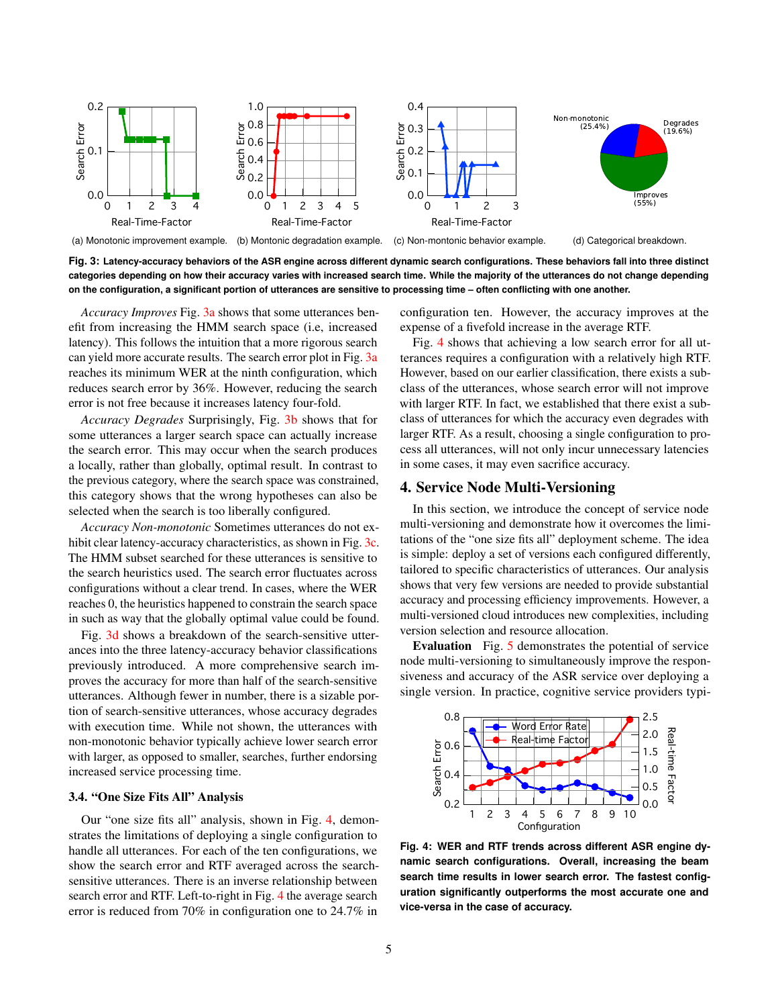<span id="page-4-0"></span>

<span id="page-4-2"></span><span id="page-4-1"></span>**Fig. 3: Latency-accuracy behaviors of the ASR engine across different dynamic search configurations. These behaviors fall into three distinct categories depending on how their accuracy varies with increased search time. While the majority of the utterances do not change depending on the configuration, a significant portion of utterances are sensitive to processing time – often conflicting with one another.**

*Accuracy Improves* Fig. [3a](#page-4-1) shows that some utterances benefit from increasing the HMM search space (i.e, increased latency). This follows the intuition that a more rigorous search can yield more accurate results. The search error plot in Fig. [3a](#page-4-1) reaches its minimum WER at the ninth configuration, which reduces search error by 36%. However, reducing the search error is not free because it increases latency four-fold.

*Accuracy Degrades* Surprisingly, Fig. [3b](#page-4-2) shows that for some utterances a larger search space can actually increase the search error. This may occur when the search produces a locally, rather than globally, optimal result. In contrast to the previous category, where the search space was constrained, this category shows that the wrong hypotheses can also be selected when the search is too liberally configured.

*Accuracy Non-monotonic* Sometimes utterances do not ex-hibit clear latency-accuracy characteristics, as shown in Fig. [3c.](#page-4-3) The HMM subset searched for these utterances is sensitive to the search heuristics used. The search error fluctuates across configurations without a clear trend. In cases, where the WER reaches 0, the heuristics happened to constrain the search space in such as way that the globally optimal value could be found.

Fig. [3d](#page-4-4) shows a breakdown of the search-sensitive utterances into the three latency-accuracy behavior classifications previously introduced. A more comprehensive search improves the accuracy for more than half of the search-sensitive utterances. Although fewer in number, there is a sizable portion of search-sensitive utterances, whose accuracy degrades with execution time. While not shown, the utterances with non-monotonic behavior typically achieve lower search error with larger, as opposed to smaller, searches, further endorsing increased service processing time.

### 3.4. "One Size Fits All" Analysis

Our "one size fits all" analysis, shown in Fig. [4,](#page-4-5) demonstrates the limitations of deploying a single configuration to handle all utterances. For each of the ten configurations, we show the search error and RTF averaged across the searchsensitive utterances. There is an inverse relationship between search error and RTF. Left-to-right in Fig. [4](#page-4-5) the average search error is reduced from 70% in configuration one to 24.7% in

<span id="page-4-4"></span><span id="page-4-3"></span>configuration ten. However, the accuracy improves at the expense of a fivefold increase in the average RTF.

Fig. [4](#page-4-5) shows that achieving a low search error for all utterances requires a configuration with a relatively high RTF. However, based on our earlier classification, there exists a subclass of the utterances, whose search error will not improve with larger RTF. In fact, we established that there exist a subclass of utterances for which the accuracy even degrades with larger RTF. As a result, choosing a single configuration to process all utterances, will not only incur unnecessary latencies in some cases, it may even sacrifice accuracy.

### 4. Service Node Multi-Versioning

In this section, we introduce the concept of service node multi-versioning and demonstrate how it overcomes the limitations of the "one size fits all" deployment scheme. The idea is simple: deploy a set of versions each configured differently, tailored to specific characteristics of utterances. Our analysis shows that very few versions are needed to provide substantial accuracy and processing efficiency improvements. However, a multi-versioned cloud introduces new complexities, including version selection and resource allocation.

Evaluation Fig. [5](#page-5-3) demonstrates the potential of service node multi-versioning to simultaneously improve the responsiveness and accuracy of the ASR service over deploying a single version. In practice, cognitive service providers typi-

<span id="page-4-5"></span>

**Fig. 4: WER and RTF trends across different ASR engine dynamic search configurations. Overall, increasing the beam search time results in lower search error. The fastest configuration significantly outperforms the most accurate one and vice-versa in the case of accuracy.**